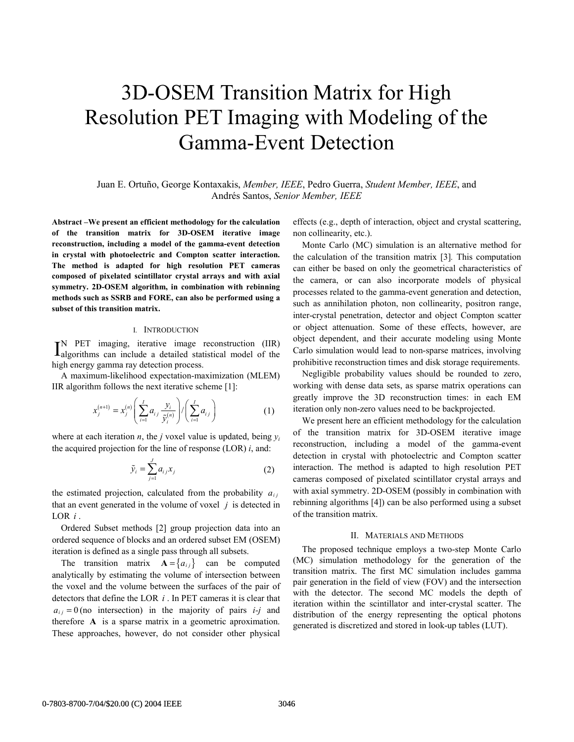# 3D-OSEM Transition Matrix for High Resolution PET Imaging with Modeling of the Gamma-Event Detection

Juan E. Ortuño, George Kontaxakis, *Member, IEEE*, Pedro Guerra, *Student Member, IEEE*, and Andrés Santos, *Senior Member, IEEE*

**Abstract –We present an efficient methodology for the calculation of the transition matrix for 3D-OSEM iterative image reconstruction, including a model of the gamma-event detection in crystal with photoelectric and Compton scatter interaction. The method is adapted for high resolution PET cameras composed of pixelated scintillator crystal arrays and with axial symmetry. 2D-OSEM algorithm, in combination with rebinning methods such as SSRB and FORE, can also be performed using a subset of this transition matrix.** 

#### I. INTRODUCTION

N PET imaging, iterative image reconstruction (IIR)  $\Gamma_{\text{algorithms}}^{\text{N}}$  PET imaging, iterative image reconstruction (IIR)  $\Gamma_{\text{algorithms}}$  can include a detailed statistical model of the high energy gamma ray detection process.

A maximum-likelihood expectation-maximization (MLEM) IIR algorithm follows the next iterative scheme [1]:

$$
x_j^{(n+1)} = x_j^{(n)} \left( \sum_{i=1}^I a_{ij} \frac{y_i}{\tilde{y}_i^{(n)}} \right) / \left( \sum_{i=1}^I a_{ij} \right)
$$
 (1)

where at each iteration *n*, the *j* voxel value is updated, being  $y_i$ the acquired projection for the line of response  $(LOR)$  *i*, and:

$$
\tilde{y}_i = \sum_{j=1}^J a_{ij} x_j \tag{2}
$$

the estimated projection, calculated from the probability  $a_{ij}$ that an event generated in the volume of voxel *j* is detected in LOR *i* .

 Ordered Subset methods [2] group projection data into an ordered sequence of blocks and an ordered subset EM (OSEM) iteration is defined as a single pass through all subsets.

The transition matrix  $A = \{a_{ij}\}\$  can be computed analytically by estimating the volume of intersection between the voxel and the volume between the surfaces of the pair of detectors that define the LOR *i* . In PET cameras it is clear that  $a_{ij} = 0$  (no intersection) in the majority of pairs *i-j* and therefore **A** is a sparse matrix in a geometric aproximation. These approaches, however, do not consider other physical

effects (e.g., depth of interaction, object and crystal scattering, non collinearity, etc.).

Monte Carlo (MC) simulation is an alternative method for the calculation of the transition matrix [3]*.* This computation can either be based on only the geometrical characteristics of the camera, or can also incorporate models of physical processes related to the gamma-event generation and detection, such as annihilation photon, non collinearity, positron range, inter-crystal penetration, detector and object Compton scatter or object attenuation. Some of these effects, however, are object dependent, and their accurate modeling using Monte Carlo simulation would lead to non-sparse matrices, involving prohibitive reconstruction times and disk storage requirements.

Negligible probability values should be rounded to zero, working with dense data sets, as sparse matrix operations can greatly improve the 3D reconstruction times: in each EM iteration only non-zero values need to be backprojected.

We present here an efficient methodology for the calculation of the transition matrix for 3D-OSEM iterative image reconstruction, including a model of the gamma-event detection in crystal with photoelectric and Compton scatter interaction. The method is adapted to high resolution PET cameras composed of pixelated scintillator crystal arrays and with axial symmetry. 2D-OSEM (possibly in combination with rebinning algorithms [4]) can be also performed using a subset of the transition matrix.

## II. MATERIALS AND METHODS

 The proposed technique employs a two-step Monte Carlo (MC) simulation methodology for the generation of the transition matrix. The first MC simulation includes gamma pair generation in the field of view (FOV) and the intersection with the detector. The second MC models the depth of iteration within the scintillator and inter-crystal scatter. The distribution of the energy representing the optical photons generated is discretized and stored in look-up tables (LUT).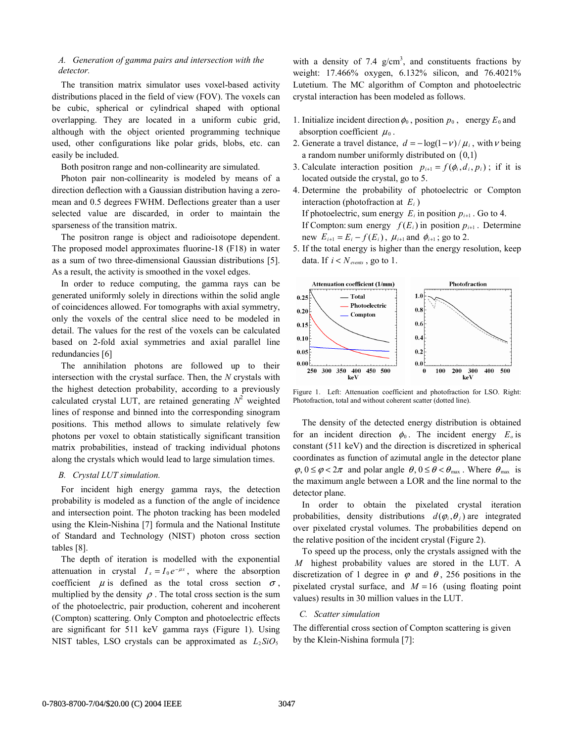## *A. Generation of gamma pairs and intersection with the detector.*

 The transition matrix simulator uses voxel-based activity distributions placed in the field of view (FOV). The voxels can be cubic, spherical or cylindrical shaped with optional overlapping. They are located in a uniform cubic grid, although with the object oriented programming technique used, other configurations like polar grids, blobs, etc. can easily be included.

Both positron range and non-collinearity are simulated.

 Photon pair non-collinearity is modeled by means of a direction deflection with a Gaussian distribution having a zeromean and 0.5 degrees FWHM. Deflections greater than a user selected value are discarded, in order to maintain the sparseness of the transition matrix.

 The positron range is object and radioisotope dependent. The proposed model approximates fluorine-18 (F18) in water as a sum of two three-dimensional Gaussian distributions [5]. As a result, the activity is smoothed in the voxel edges.

 In order to reduce computing, the gamma rays can be generated uniformly solely in directions within the solid angle of coincidences allowed. For tomographs with axial symmetry, only the voxels of the central slice need to be modeled in detail. The values for the rest of the voxels can be calculated based on 2-fold axial symmetries and axial parallel line redundancies [6]

 The annihilation photons are followed up to their intersection with the crystal surface. Then, the *N* crystals with the highest detection probability, according to a previously calculated crystal LUT, are retained generating  $N^2$  weighted lines of response and binned into the corresponding sinogram positions. This method allows to simulate relatively few photons per voxel to obtain statistically significant transition matrix probabilities, instead of tracking individual photons along the crystals which would lead to large simulation times.

## *B. Crystal LUT simulation.*

For incident high energy gamma rays, the detection probability is modeled as a function of the angle of incidence and intersection point. The photon tracking has been modeled using the Klein-Nishina [7] formula and the National Institute of Standard and Technology (NIST) photon cross section tables [8].

 The depth of iteration is modelled with the exponential attenuation in crystal  $I_x = I_0 e^{-\mu x}$ , where the absorption coefficient  $\mu$  is defined as the total cross section  $\sigma$ , multiplied by the density  $\rho$ . The total cross section is the sum of the photoelectric, pair production, coherent and incoherent (Compton) scattering. Only Compton and photoelectric effects are significant for 511 keV gamma rays (Figure 1). Using NIST tables, LSO crystals can be approximated as  $L_2SiO_5$ 

with a density of 7.4  $g/cm<sup>3</sup>$ , and constituents fractions by weight: 17.466% oxygen, 6.132% silicon, and 76.4021% Lutetium. The MC algorithm of Compton and photoelectric crystal interaction has been modeled as follows.

- 1. Initialize incident direction  $\phi_0$ , position  $p_0$ , energy  $E_0$  and absorption coefficient  $\mu_0$ .
- 2. Generate a travel distance,  $d = -\log(1 v) / \mu_i$ , with v being a random number uniformly distributed on  $(0,1)$
- 3. Calculate interaction position  $p_{i+1} = f(\phi_i, d_i, p_i)$ ; if it is located outside the crystal, go to 5.
- 4. Determine the probability of photoelectric or Compton interaction (photofraction at *Ei* ) If photoelectric, sum energy  $E_i$  in position  $p_{i+1}$ . Go to 4. If Compton: sum energy  $f(E_i)$  in position  $p_{i+1}$ . Determine new  $E_{i+1} = E_i - f(E_i)$ ,  $\mu_{i+1}$  and  $\phi_{i+1}$ ; go to 2.
- 5. If the total energy is higher than the energy resolution, keep data. If  $i < N_{events}$ , go to 1.



Figure 1. Left: Attenuation coefficient and photofraction for LSO. Right: Photofraction, total and without coherent scatter (dotted line).

 The density of the detected energy distribution is obtained for an incident direction  $\phi_0$ . The incident energy  $E_0$  is constant (511 keV) and the direction is discretized in spherical coordinates as function of azimutal angle in the detector plane  $\varphi, 0 \leq \varphi < 2\pi$  and polar angle  $\theta, 0 \leq \theta < \theta_{\text{max}}$ . Where  $\theta_{\text{max}}$  is the maximum angle between a LOR and the line normal to the detector plane.

 In order to obtain the pixelated crystal iteration probabilities, density distributions  $d(\varphi_i, \theta_i)$  are integrated over pixelated crystal volumes. The probabilities depend on the relative position of the incident crystal (Figure 2).

 To speed up the process, only the crystals assigned with the *M* highest probability values are stored in the LUT. A discretization of 1 degree in  $\varphi$  and  $\theta$ , 256 positions in the pixelated crystal surface, and  $M = 16$  (using floating point values) results in 30 million values in the LUT.

## *C. Scatter simulation*

The differential cross section of Compton scattering is given by the Klein-Nishina formula [7]: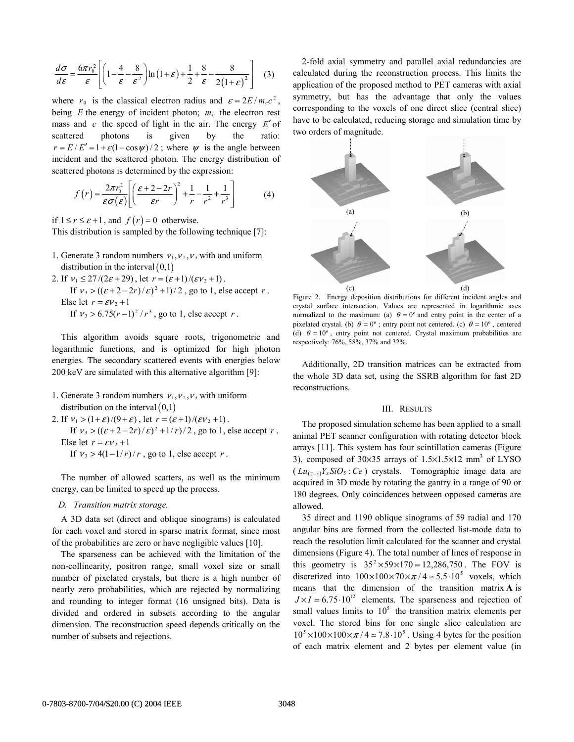$$
\frac{d\sigma}{d\varepsilon} = \frac{6\pi r_0^2}{\varepsilon} \left[ \left( 1 - \frac{4}{\varepsilon} - \frac{8}{\varepsilon^2} \right) \ln \left( 1 + \varepsilon \right) + \frac{1}{2} + \frac{8}{\varepsilon} - \frac{8}{2 \left( 1 + \varepsilon \right)^2} \right] \tag{3}
$$

where  $r_0$  is the classical electron radius and  $\varepsilon = 2E/m_e c^2$ , being  $E$  the energy of incident photon;  $m_e$  the electron rest mass and *c* the speed of light in the air. The energy *E*′ of scattered photons is given by the ratio:  $r = E/E' = 1 + \varepsilon (1 - \cos \psi)/2$ ; where  $\psi$  is the angle between incident and the scattered photon. The energy distribution of scattered photons is determined by the expression:

$$
f(r) = \frac{2\pi r_0^2}{\varepsilon \sigma(\varepsilon)} \left[ \left( \frac{\varepsilon + 2 - 2r}{\varepsilon r} \right)^2 + \frac{1}{r} - \frac{1}{r^2} + \frac{1}{r^3} \right]
$$
(4)

if  $1 \le r \le \varepsilon + 1$ , and  $f(r) = 0$  otherwise.

This distribution is sampled by the following technique [7]:

- 1. Generate 3 random numbers  $v_1, v_2, v_3$  with and uniform distribution in the interval  $(0,1)$
- 2. If  $v_1 \leq 27 / (2\varepsilon + 29)$ , let  $r = (\varepsilon + 1) / (\varepsilon v_2 + 1)$ .
- If  $v_3$  >  $((\varepsilon + 2 2r)/\varepsilon)^2$  +1)/2, go to 1, else accept *r*. Else let  $r = \varepsilon v_2 + 1$ If  $v_3 > 6.75(r-1)^2/r^3$ , go to 1, else accept *r*.

This algorithm avoids square roots, trigonometric and logarithmic functions, and is optimized for high photon energies. The secondary scattered events with energies below 200 keV are simulated with this alternative algorithm [9]:

- 1. Generate 3 random numbers  $v_1, v_2, v_3$  with uniform distribution on the interval  $(0,1)$
- 2. If  $v_1 > (1 + \varepsilon) / (9 + \varepsilon)$ , let  $r = (\varepsilon + 1) / (\varepsilon v_2 + 1)$ .

If  $v_3 > ((\varepsilon + 2 - 2r)/\varepsilon)^2 + 1/r$  / 2, go to 1, else accept *r*. Else let  $r = \varepsilon v_2 + 1$ 

If  $v_3 > 4(1 - 1/r)/r$ , go to 1, else accept *r*.

The number of allowed scatters, as well as the minimum energy, can be limited to speed up the process.

## *D. Transition matrix storage.*

A 3D data set (direct and oblique sinograms) is calculated for each voxel and stored in sparse matrix format, since most of the probabilities are zero or have negligible values [10].

 The sparseness can be achieved with the limitation of the non-collinearity, positron range, small voxel size or small number of pixelated crystals, but there is a high number of nearly zero probabilities, which are rejected by normalizing and rounding to integer format (16 unsigned bits). Data is divided and ordered in subsets according to the angular dimension. The reconstruction speed depends critically on the number of subsets and rejections.

 2-fold axial symmetry and parallel axial redundancies are calculated during the reconstruction process. This limits the application of the proposed method to PET cameras with axial symmetry, but has the advantage that only the values corresponding to the voxels of one direct slice (central slice) have to be calculated, reducing storage and simulation time by two orders of magnitude.



Figure 2. Energy deposition distributions for different incident angles and crystal surface intersection. Values are represented in logarithmic axes normalized to the maximum: (a)  $\theta = 0^{\circ}$  and entry point in the center of a pixelated crystal. (b)  $\theta = 0^{\circ}$ ; entry point not centered. (c)  $\theta = 10^{\circ}$ , centered (d)  $\theta = 10^{\circ}$ , entry point not centered. Crystal maximum probabilities are respectively: 76%, 58%, 37% and 32%.

 Additionally, 2D transition matrices can be extracted from the whole 3D data set, using the SSRB algorithm for fast 2D reconstructions.

#### III. RESULTS

 The proposed simulation scheme has been applied to a small animal PET scanner configuration with rotating detector block arrays [11]. This system has four scintillation cameras (Figure 3), composed of  $30 \times 35$  arrays of  $1.5 \times 1.5 \times 12$  mm<sup>3</sup> of LYSO  $(Lu_{(2-x)}Y_xSiO_5:Ce)$  crystals. Tomographic image data are acquired in 3D mode by rotating the gantry in a range of 90 or 180 degrees. Only coincidences between opposed cameras are allowed.

35 direct and 1190 oblique sinograms of 59 radial and 170 angular bins are formed from the collected list-mode data to reach the resolution limit calculated for the scanner and crystal dimensions (Figure 4). The total number of lines of response in this geometry is  $35^{2} \times 59 \times 170 = 12,286,750$ . The FOV is discretized into  $100 \times 100 \times 70 \times \pi / 4 \approx 5.5 \cdot 10^5$  voxels, which means that the dimension of the transition matrix **A** is  $J \times I \approx 6.75 \cdot 10^{12}$  elements. The sparseness and rejection of small values limits to  $10<sup>5</sup>$  the transition matrix elements per voxel. The stored bins for one single slice calculation are  $10^5 \times 100 \times 100 \times \pi / 4 \approx 7.8 \cdot 10^8$ . Using 4 bytes for the position of each matrix element and 2 bytes per element value (in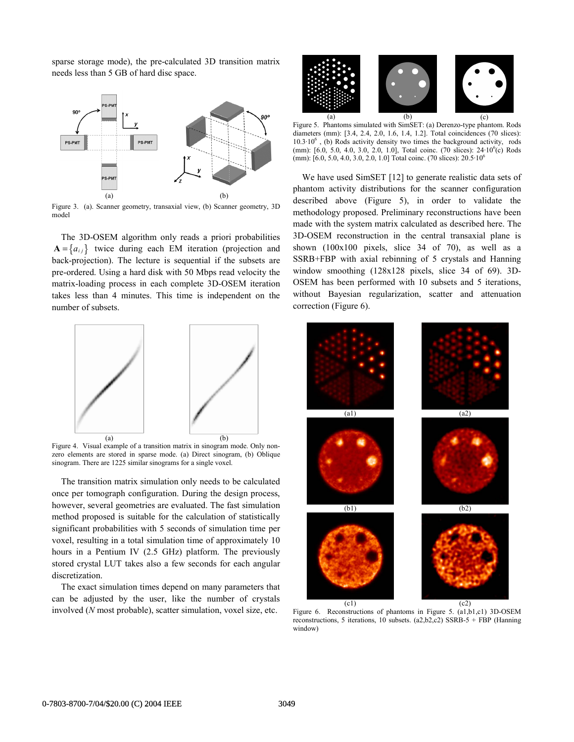sparse storage mode), the pre-calculated 3D transition matrix needs less than 5 GB of hard disc space.



Figure 3. (a). Scanner geometry, transaxial view, (b) Scanner geometry, 3D model

The 3D-OSEM algorithm only reads a priori probabilities  $A = \{a_{ij}\}\$  twice during each EM iteration (projection and back-projection). The lecture is sequential if the subsets are pre-ordered. Using a hard disk with 50 Mbps read velocity the matrix-loading process in each complete 3D-OSEM iteration takes less than 4 minutes. This time is independent on the number of subsets.



Figure 4. Visual example of a transition matrix in sinogram mode. Only nonzero elements are stored in sparse mode. (a) Direct sinogram, (b) Oblique sinogram. There are 1225 similar sinograms for a single voxel.

The transition matrix simulation only needs to be calculated once per tomograph configuration. During the design process, however, several geometries are evaluated. The fast simulation method proposed is suitable for the calculation of statistically significant probabilities with 5 seconds of simulation time per voxel, resulting in a total simulation time of approximately 10 hours in a Pentium IV (2.5 GHz) platform. The previously stored crystal LUT takes also a few seconds for each angular discretization.

The exact simulation times depend on many parameters that can be adjusted by the user, like the number of crystals involved (*N* most probable), scatter simulation, voxel size, etc.



Figure 5. Phantoms simulated with SimSET: (a) Derenzo-type phantom. Rods diameters (mm): [3.4, 2.4, 2.0, 1.6, 1.4, 1.2]. Total coincidences (70 slices): 10.3·10<sup>6</sup>, (b) Rods activity density two times the background activity, rods  $(mm)$ : [6.0, 5.0, 4.0, 3.0, 2.0, 1.0], Total coinc. (70 slices):  $24.10<sup>6</sup>(c)$  Rods (mm): [6.0, 5.0, 4.0, 3.0, 2.0, 1.0] Total coinc. (70 slices): 20.5·106

We have used SimSET [12] to generate realistic data sets of phantom activity distributions for the scanner configuration described above (Figure 5), in order to validate the methodology proposed. Preliminary reconstructions have been made with the system matrix calculated as described here. The 3D-OSEM reconstruction in the central transaxial plane is shown  $(100x100$  pixels, slice 34 of 70), as well as a SSRB+FBP with axial rebinning of 5 crystals and Hanning window smoothing (128x128 pixels, slice 34 of 69). 3D-OSEM has been performed with 10 subsets and 5 iterations, without Bayesian regularization, scatter and attenuation correction (Figure 6).



Figure 6. Reconstructions of phantoms in Figure 5. (a1,b1,c1) 3D-OSEM reconstructions, 5 iterations, 10 subsets. (a2,b2,c2) SSRB-5 + FBP (Hanning window)